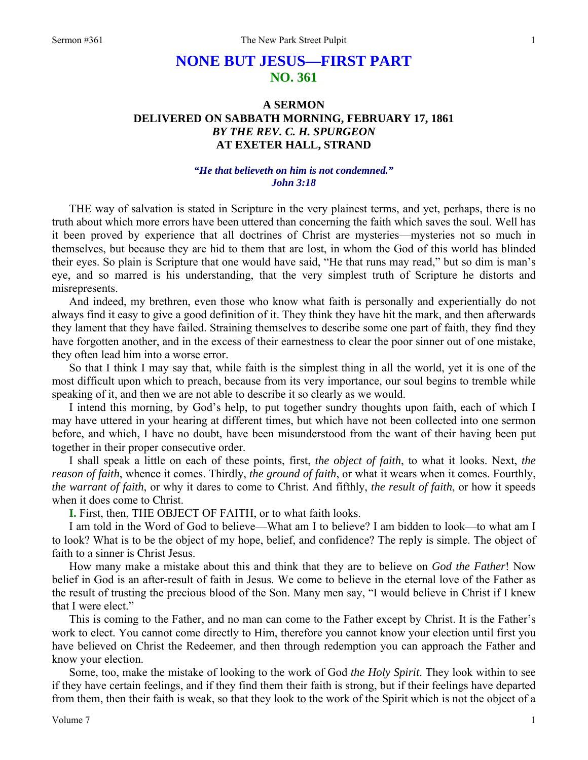# **NONE BUT JESUS—FIRST PART NO. 361**

## **A SERMON DELIVERED ON SABBATH MORNING, FEBRUARY 17, 1861**  *BY THE REV. C. H. SPURGEON*  **AT EXETER HALL, STRAND**

## *"He that believeth on him is not condemned." John 3:18*

THE way of salvation is stated in Scripture in the very plainest terms, and yet, perhaps, there is no truth about which more errors have been uttered than concerning the faith which saves the soul. Well has it been proved by experience that all doctrines of Christ are mysteries—mysteries not so much in themselves, but because they are hid to them that are lost, in whom the God of this world has blinded their eyes. So plain is Scripture that one would have said, "He that runs may read," but so dim is man's eye, and so marred is his understanding, that the very simplest truth of Scripture he distorts and misrepresents.

And indeed, my brethren, even those who know what faith is personally and experientially do not always find it easy to give a good definition of it. They think they have hit the mark, and then afterwards they lament that they have failed. Straining themselves to describe some one part of faith, they find they have forgotten another, and in the excess of their earnestness to clear the poor sinner out of one mistake, they often lead him into a worse error.

So that I think I may say that, while faith is the simplest thing in all the world, yet it is one of the most difficult upon which to preach, because from its very importance, our soul begins to tremble while speaking of it, and then we are not able to describe it so clearly as we would.

I intend this morning, by God's help, to put together sundry thoughts upon faith, each of which I may have uttered in your hearing at different times, but which have not been collected into one sermon before, and which, I have no doubt, have been misunderstood from the want of their having been put together in their proper consecutive order.

I shall speak a little on each of these points, first, *the object of faith*, to what it looks. Next, *the reason of faith*, whence it comes. Thirdly, *the ground of faith*, or what it wears when it comes. Fourthly, *the warrant of faith*, or why it dares to come to Christ. And fifthly, *the result of faith*, or how it speeds when it does come to Christ.

**I.** First, then, THE OBJECT OF FAITH, or to what faith looks.

I am told in the Word of God to believe—What am I to believe? I am bidden to look—to what am I to look? What is to be the object of my hope, belief, and confidence? The reply is simple. The object of faith to a sinner is Christ Jesus.

How many make a mistake about this and think that they are to believe on *God the Father*! Now belief in God is an after-result of faith in Jesus. We come to believe in the eternal love of the Father as the result of trusting the precious blood of the Son. Many men say, "I would believe in Christ if I knew that I were elect."

This is coming to the Father, and no man can come to the Father except by Christ. It is the Father's work to elect. You cannot come directly to Him, therefore you cannot know your election until first you have believed on Christ the Redeemer, and then through redemption you can approach the Father and know your election.

Some, too, make the mistake of looking to the work of God *the Holy Spirit*. They look within to see if they have certain feelings, and if they find them their faith is strong, but if their feelings have departed from them, then their faith is weak, so that they look to the work of the Spirit which is not the object of a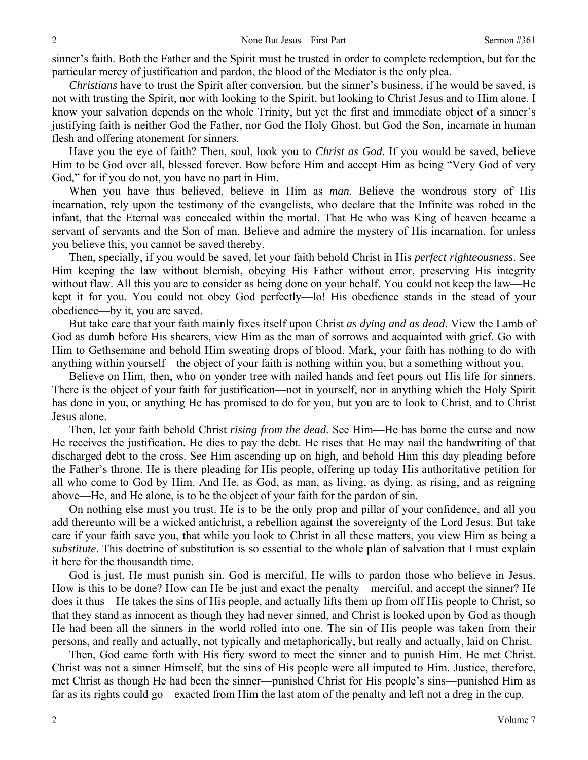sinner's faith. Both the Father and the Spirit must be trusted in order to complete redemption, but for the particular mercy of justification and pardon, the blood of the Mediator is the only plea.

*Christians* have to trust the Spirit after conversion, but the sinner's business, if he would be saved, is not with trusting the Spirit, nor with looking to the Spirit, but looking to Christ Jesus and to Him alone. I know your salvation depends on the whole Trinity, but yet the first and immediate object of a sinner's justifying faith is neither God the Father, nor God the Holy Ghost, but God the Son, incarnate in human flesh and offering atonement for sinners.

Have you the eye of faith? Then, soul, look you to *Christ as God*. If you would be saved, believe Him to be God over all, blessed forever. Bow before Him and accept Him as being "Very God of very God," for if you do not, you have no part in Him.

When you have thus believed, believe in Him as *man*. Believe the wondrous story of His incarnation, rely upon the testimony of the evangelists, who declare that the Infinite was robed in the infant, that the Eternal was concealed within the mortal. That He who was King of heaven became a servant of servants and the Son of man. Believe and admire the mystery of His incarnation, for unless you believe this, you cannot be saved thereby.

Then, specially, if you would be saved, let your faith behold Christ in His *perfect righteousness*. See Him keeping the law without blemish, obeying His Father without error, preserving His integrity without flaw. All this you are to consider as being done on your behalf. You could not keep the law—He kept it for you. You could not obey God perfectly—lo! His obedience stands in the stead of your obedience—by it, you are saved.

But take care that your faith mainly fixes itself upon Christ *as dying and as dead*. View the Lamb of God as dumb before His shearers, view Him as the man of sorrows and acquainted with grief. Go with Him to Gethsemane and behold Him sweating drops of blood. Mark, your faith has nothing to do with anything within yourself—the object of your faith is nothing within you, but a something without you.

Believe on Him, then, who on yonder tree with nailed hands and feet pours out His life for sinners. There is the object of your faith for justification—not in yourself, nor in anything which the Holy Spirit has done in you, or anything He has promised to do for you, but you are to look to Christ, and to Christ Jesus alone.

Then, let your faith behold Christ *rising from the dead*. See Him—He has borne the curse and now He receives the justification. He dies to pay the debt. He rises that He may nail the handwriting of that discharged debt to the cross. See Him ascending up on high, and behold Him this day pleading before the Father's throne. He is there pleading for His people, offering up today His authoritative petition for all who come to God by Him. And He, as God, as man, as living, as dying, as rising, and as reigning above—He, and He alone, is to be the object of your faith for the pardon of sin.

On nothing else must you trust. He is to be the only prop and pillar of your confidence, and all you add thereunto will be a wicked antichrist, a rebellion against the sovereignty of the Lord Jesus. But take care if your faith save you, that while you look to Christ in all these matters, you view Him as being a *substitute*. This doctrine of substitution is so essential to the whole plan of salvation that I must explain it here for the thousandth time.

God is just, He must punish sin. God is merciful, He wills to pardon those who believe in Jesus. How is this to be done? How can He be just and exact the penalty—merciful, and accept the sinner? He does it thus—He takes the sins of His people, and actually lifts them up from off His people to Christ, so that they stand as innocent as though they had never sinned, and Christ is looked upon by God as though He had been all the sinners in the world rolled into one. The sin of His people was taken from their persons, and really and actually, not typically and metaphorically, but really and actually, laid on Christ.

Then, God came forth with His fiery sword to meet the sinner and to punish Him. He met Christ. Christ was not a sinner Himself, but the sins of His people were all imputed to Him. Justice, therefore, met Christ as though He had been the sinner—punished Christ for His people's sins—punished Him as far as its rights could go—exacted from Him the last atom of the penalty and left not a dreg in the cup.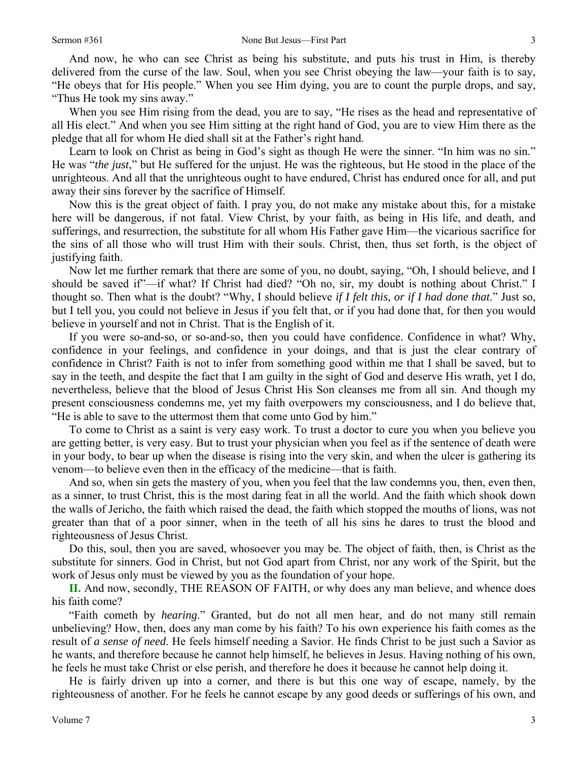And now, he who can see Christ as being his substitute, and puts his trust in Him, is thereby delivered from the curse of the law. Soul, when you see Christ obeying the law—your faith is to say, "He obeys that for His people." When you see Him dying, you are to count the purple drops, and say, "Thus He took my sins away."

When you see Him rising from the dead, you are to say, "He rises as the head and representative of all His elect." And when you see Him sitting at the right hand of God, you are to view Him there as the pledge that all for whom He died shall sit at the Father's right hand.

Learn to look on Christ as being in God's sight as though He were the sinner. "In him was no sin." He was "*the just*," but He suffered for the unjust. He was the righteous, but He stood in the place of the unrighteous. And all that the unrighteous ought to have endured, Christ has endured once for all, and put away their sins forever by the sacrifice of Himself.

Now this is the great object of faith. I pray you, do not make any mistake about this, for a mistake here will be dangerous, if not fatal. View Christ, by your faith, as being in His life, and death, and sufferings, and resurrection, the substitute for all whom His Father gave Him—the vicarious sacrifice for the sins of all those who will trust Him with their souls. Christ, then, thus set forth, is the object of justifying faith.

Now let me further remark that there are some of you, no doubt, saying, "Oh, I should believe, and I should be saved if"—if what? If Christ had died? "Oh no, sir, my doubt is nothing about Christ." I thought so. Then what is the doubt? "Why, I should believe *if I felt this, or if I had done that*." Just so, but I tell you, you could not believe in Jesus if you felt that, or if you had done that, for then you would believe in yourself and not in Christ. That is the English of it.

If you were so-and-so, or so-and-so, then you could have confidence. Confidence in what? Why, confidence in your feelings, and confidence in your doings, and that is just the clear contrary of confidence in Christ? Faith is not to infer from something good within me that I shall be saved, but to say in the teeth, and despite the fact that I am guilty in the sight of God and deserve His wrath, yet I do, nevertheless, believe that the blood of Jesus Christ His Son cleanses me from all sin. And though my present consciousness condemns me, yet my faith overpowers my consciousness, and I do believe that, "He is able to save to the uttermost them that come unto God by him."

To come to Christ as a saint is very easy work. To trust a doctor to cure you when you believe you are getting better, is very easy. But to trust your physician when you feel as if the sentence of death were in your body, to bear up when the disease is rising into the very skin, and when the ulcer is gathering its venom—to believe even then in the efficacy of the medicine—that is faith.

And so, when sin gets the mastery of you, when you feel that the law condemns you, then, even then, as a sinner, to trust Christ, this is the most daring feat in all the world. And the faith which shook down the walls of Jericho, the faith which raised the dead, the faith which stopped the mouths of lions, was not greater than that of a poor sinner, when in the teeth of all his sins he dares to trust the blood and righteousness of Jesus Christ.

Do this, soul, then you are saved, whosoever you may be. The object of faith, then, is Christ as the substitute for sinners. God in Christ, but not God apart from Christ, nor any work of the Spirit, but the work of Jesus only must be viewed by you as the foundation of your hope.

**II.** And now, secondly, THE REASON OF FAITH, or why does any man believe, and whence does his faith come?

"Faith cometh by *hearing*." Granted, but do not all men hear, and do not many still remain unbelieving? How, then, does any man come by his faith? To his own experience his faith comes as the result of *a sense of need*. He feels himself needing a Savior. He finds Christ to be just such a Savior as he wants, and therefore because he cannot help himself, he believes in Jesus. Having nothing of his own, he feels he must take Christ or else perish, and therefore he does it because he cannot help doing it.

He is fairly driven up into a corner, and there is but this one way of escape, namely, by the righteousness of another. For he feels he cannot escape by any good deeds or sufferings of his own, and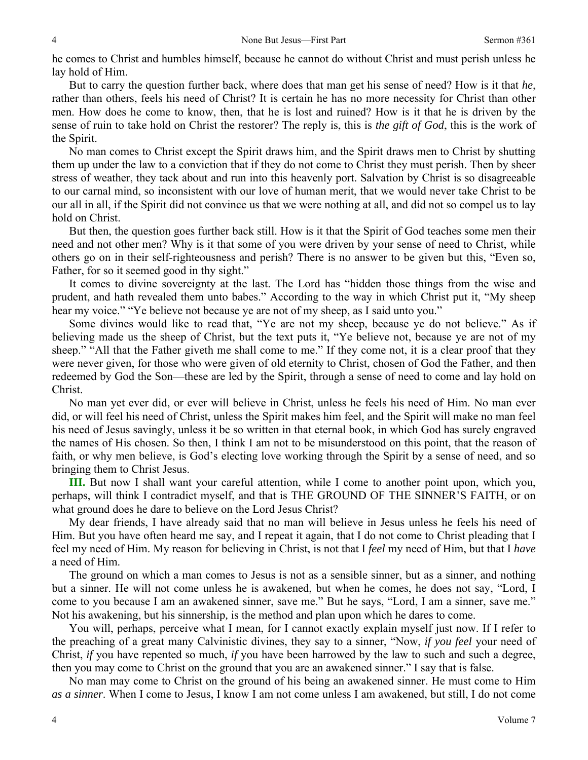he comes to Christ and humbles himself, because he cannot do without Christ and must perish unless he lay hold of Him.

But to carry the question further back, where does that man get his sense of need? How is it that *he*, rather than others, feels his need of Christ? It is certain he has no more necessity for Christ than other men. How does he come to know, then, that he is lost and ruined? How is it that he is driven by the sense of ruin to take hold on Christ the restorer? The reply is, this is *the gift of God*, this is the work of the Spirit.

No man comes to Christ except the Spirit draws him, and the Spirit draws men to Christ by shutting them up under the law to a conviction that if they do not come to Christ they must perish. Then by sheer stress of weather, they tack about and run into this heavenly port. Salvation by Christ is so disagreeable to our carnal mind, so inconsistent with our love of human merit, that we would never take Christ to be our all in all, if the Spirit did not convince us that we were nothing at all, and did not so compel us to lay hold on Christ.

But then, the question goes further back still. How is it that the Spirit of God teaches some men their need and not other men? Why is it that some of you were driven by your sense of need to Christ, while others go on in their self-righteousness and perish? There is no answer to be given but this, "Even so, Father, for so it seemed good in thy sight."

It comes to divine sovereignty at the last. The Lord has "hidden those things from the wise and prudent, and hath revealed them unto babes." According to the way in which Christ put it, "My sheep hear my voice." "Ye believe not because ye are not of my sheep, as I said unto you."

Some divines would like to read that, "Ye are not my sheep, because ye do not believe." As if believing made us the sheep of Christ, but the text puts it, "Ye believe not, because ye are not of my sheep." "All that the Father giveth me shall come to me." If they come not, it is a clear proof that they were never given, for those who were given of old eternity to Christ, chosen of God the Father, and then redeemed by God the Son—these are led by the Spirit, through a sense of need to come and lay hold on Christ.

No man yet ever did, or ever will believe in Christ, unless he feels his need of Him. No man ever did, or will feel his need of Christ, unless the Spirit makes him feel, and the Spirit will make no man feel his need of Jesus savingly, unless it be so written in that eternal book, in which God has surely engraved the names of His chosen. So then, I think I am not to be misunderstood on this point, that the reason of faith, or why men believe, is God's electing love working through the Spirit by a sense of need, and so bringing them to Christ Jesus.

**III.** But now I shall want your careful attention, while I come to another point upon, which you, perhaps, will think I contradict myself, and that is THE GROUND OF THE SINNER'S FAITH, or on what ground does he dare to believe on the Lord Jesus Christ?

My dear friends, I have already said that no man will believe in Jesus unless he feels his need of Him. But you have often heard me say, and I repeat it again, that I do not come to Christ pleading that I feel my need of Him. My reason for believing in Christ, is not that I *feel* my need of Him, but that I *have* a need of Him.

The ground on which a man comes to Jesus is not as a sensible sinner, but as a sinner, and nothing but a sinner. He will not come unless he is awakened, but when he comes, he does not say, "Lord, I come to you because I am an awakened sinner, save me." But he says, "Lord, I am a sinner, save me." Not his awakening, but his sinnership*,* is the method and plan upon which he dares to come.

You will, perhaps, perceive what I mean, for I cannot exactly explain myself just now. If I refer to the preaching of a great many Calvinistic divines, they say to a sinner, "Now, *if you feel* your need of Christ, *if* you have repented so much, *if* you have been harrowed by the law to such and such a degree, then you may come to Christ on the ground that you are an awakened sinner." I say that is false.

No man may come to Christ on the ground of his being an awakened sinner. He must come to Him *as a sinner*. When I come to Jesus, I know I am not come unless I am awakened, but still, I do not come

4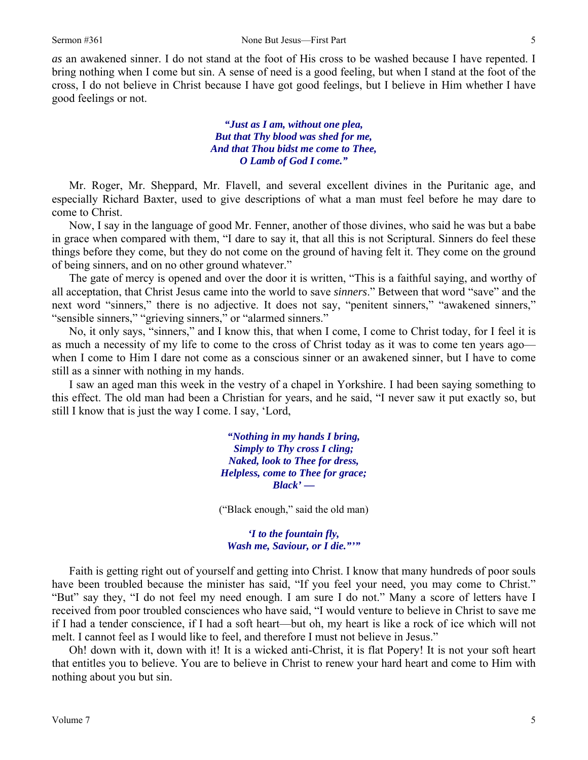*as* an awakened sinner. I do not stand at the foot of His cross to be washed because I have repented. I bring nothing when I come but sin. A sense of need is a good feeling, but when I stand at the foot of the cross, I do not believe in Christ because I have got good feelings, but I believe in Him whether I have good feelings or not.

> *"Just as I am, without one plea, But that Thy blood was shed for me, And that Thou bidst me come to Thee, O Lamb of God I come."*

Mr. Roger, Mr. Sheppard, Mr. Flavell, and several excellent divines in the Puritanic age, and especially Richard Baxter, used to give descriptions of what a man must feel before he may dare to come to Christ.

Now, I say in the language of good Mr. Fenner, another of those divines, who said he was but a babe in grace when compared with them, "I dare to say it, that all this is not Scriptural. Sinners do feel these things before they come, but they do not come on the ground of having felt it. They come on the ground of being sinners, and on no other ground whatever."

The gate of mercy is opened and over the door it is written, "This is a faithful saying, and worthy of all acceptation, that Christ Jesus came into the world to save *sinners*." Between that word "save" and the next word "sinners," there is no adjective. It does not say, "penitent sinners," "awakened sinners," "sensible sinners," "grieving sinners," or "alarmed sinners."

No, it only says, "sinners," and I know this, that when I come, I come to Christ today, for I feel it is as much a necessity of my life to come to the cross of Christ today as it was to come ten years ago when I come to Him I dare not come as a conscious sinner or an awakened sinner, but I have to come still as a sinner with nothing in my hands.

I saw an aged man this week in the vestry of a chapel in Yorkshire. I had been saying something to this effect. The old man had been a Christian for years, and he said, "I never saw it put exactly so, but still I know that is just the way I come. I say, 'Lord,

> *"Nothing in my hands I bring, Simply to Thy cross I cling; Naked, look to Thee for dress, Helpless, come to Thee for grace; Black' —*

("Black enough," said the old man)

*'I to the fountain fly, Wash me, Saviour, or I die."""* 

Faith is getting right out of yourself and getting into Christ. I know that many hundreds of poor souls have been troubled because the minister has said, "If you feel your need, you may come to Christ." "But" say they, "I do not feel my need enough. I am sure I do not." Many a score of letters have I received from poor troubled consciences who have said, "I would venture to believe in Christ to save me if I had a tender conscience, if I had a soft heart—but oh, my heart is like a rock of ice which will not melt. I cannot feel as I would like to feel, and therefore I must not believe in Jesus."

Oh! down with it, down with it! It is a wicked anti-Christ, it is flat Popery! It is not your soft heart that entitles you to believe. You are to believe in Christ to renew your hard heart and come to Him with nothing about you but sin.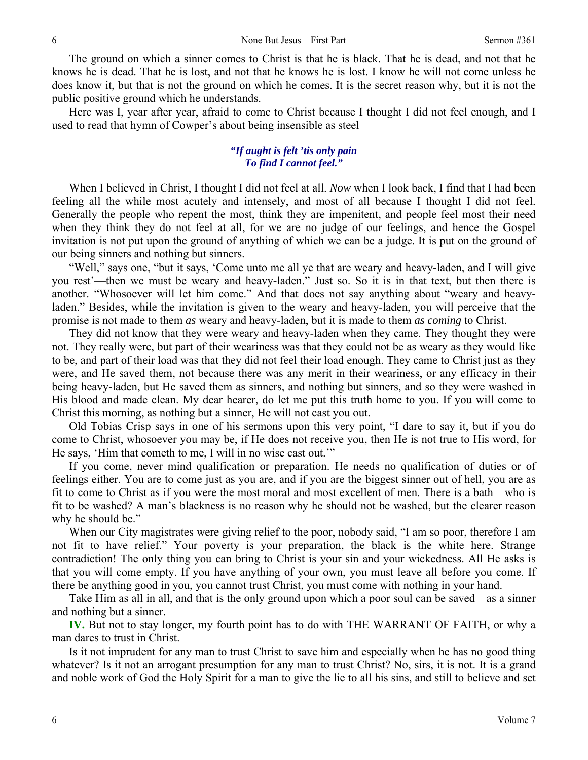The ground on which a sinner comes to Christ is that he is black. That he is dead, and not that he knows he is dead. That he is lost, and not that he knows he is lost. I know he will not come unless he does know it, but that is not the ground on which he comes. It is the secret reason why, but it is not the public positive ground which he understands.

Here was I, year after year, afraid to come to Christ because I thought I did not feel enough, and I used to read that hymn of Cowper's about being insensible as steel—

#### *"If aught is felt 'tis only pain To find I cannot feel."*

When I believed in Christ, I thought I did not feel at all. *Now* when I look back, I find that I had been feeling all the while most acutely and intensely, and most of all because I thought I did not feel. Generally the people who repent the most, think they are impenitent, and people feel most their need when they think they do not feel at all, for we are no judge of our feelings, and hence the Gospel invitation is not put upon the ground of anything of which we can be a judge. It is put on the ground of our being sinners and nothing but sinners.

"Well," says one, "but it says, 'Come unto me all ye that are weary and heavy-laden, and I will give you rest'—then we must be weary and heavy-laden." Just so. So it is in that text, but then there is another. "Whosoever will let him come." And that does not say anything about "weary and heavyladen." Besides, while the invitation is given to the weary and heavy-laden, you will perceive that the promise is not made to them *as* weary and heavy-laden, but it is made to them *as coming* to Christ.

They did not know that they were weary and heavy-laden when they came. They thought they were not. They really were, but part of their weariness was that they could not be as weary as they would like to be, and part of their load was that they did not feel their load enough. They came to Christ just as they were, and He saved them, not because there was any merit in their weariness, or any efficacy in their being heavy-laden, but He saved them as sinners, and nothing but sinners, and so they were washed in His blood and made clean. My dear hearer, do let me put this truth home to you. If you will come to Christ this morning, as nothing but a sinner, He will not cast you out.

Old Tobias Crisp says in one of his sermons upon this very point, "I dare to say it, but if you do come to Christ, whosoever you may be, if He does not receive you, then He is not true to His word, for He says, 'Him that cometh to me, I will in no wise cast out.'"

If you come, never mind qualification or preparation. He needs no qualification of duties or of feelings either. You are to come just as you are, and if you are the biggest sinner out of hell, you are as fit to come to Christ as if you were the most moral and most excellent of men. There is a bath—who is fit to be washed? A man's blackness is no reason why he should not be washed, but the clearer reason why he should be."

When our City magistrates were giving relief to the poor, nobody said, "I am so poor, therefore I am not fit to have relief." Your poverty is your preparation, the black is the white here. Strange contradiction! The only thing you can bring to Christ is your sin and your wickedness. All He asks is that you will come empty. If you have anything of your own, you must leave all before you come. If there be anything good in you, you cannot trust Christ, you must come with nothing in your hand.

Take Him as all in all, and that is the only ground upon which a poor soul can be saved—as a sinner and nothing but a sinner.

**IV.** But not to stay longer, my fourth point has to do with THE WARRANT OF FAITH, or why a man dares to trust in Christ.

Is it not imprudent for any man to trust Christ to save him and especially when he has no good thing whatever? Is it not an arrogant presumption for any man to trust Christ? No, sirs, it is not. It is a grand and noble work of God the Holy Spirit for a man to give the lie to all his sins, and still to believe and set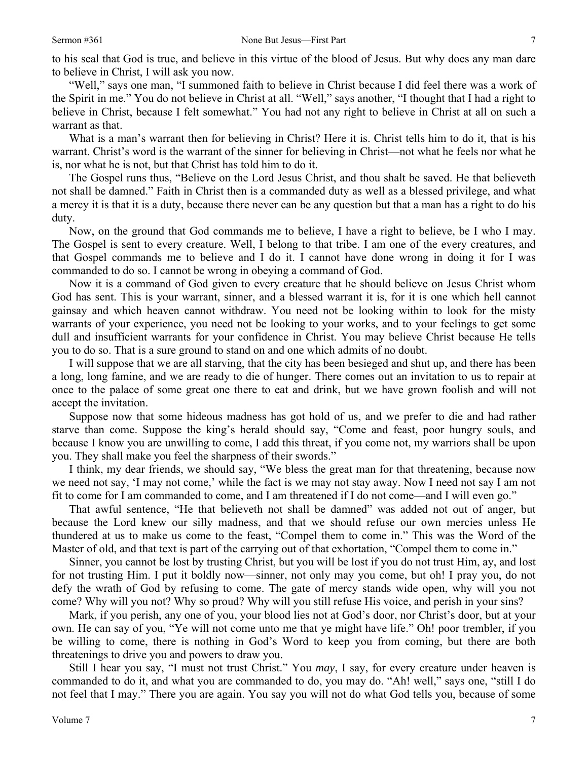to his seal that God is true, and believe in this virtue of the blood of Jesus. But why does any man dare to believe in Christ, I will ask you now.

"Well," says one man, "I summoned faith to believe in Christ because I did feel there was a work of the Spirit in me." You do not believe in Christ at all. "Well," says another, "I thought that I had a right to believe in Christ, because I felt somewhat." You had not any right to believe in Christ at all on such a warrant as that.

What is a man's warrant then for believing in Christ? Here it is. Christ tells him to do it, that is his warrant. Christ's word is the warrant of the sinner for believing in Christ—not what he feels nor what he is, nor what he is not, but that Christ has told him to do it.

The Gospel runs thus, "Believe on the Lord Jesus Christ, and thou shalt be saved. He that believeth not shall be damned." Faith in Christ then is a commanded duty as well as a blessed privilege, and what a mercy it is that it is a duty, because there never can be any question but that a man has a right to do his duty.

Now, on the ground that God commands me to believe, I have a right to believe, be I who I may. The Gospel is sent to every creature. Well, I belong to that tribe. I am one of the every creatures, and that Gospel commands me to believe and I do it. I cannot have done wrong in doing it for I was commanded to do so. I cannot be wrong in obeying a command of God.

Now it is a command of God given to every creature that he should believe on Jesus Christ whom God has sent. This is your warrant, sinner, and a blessed warrant it is, for it is one which hell cannot gainsay and which heaven cannot withdraw. You need not be looking within to look for the misty warrants of your experience, you need not be looking to your works, and to your feelings to get some dull and insufficient warrants for your confidence in Christ. You may believe Christ because He tells you to do so. That is a sure ground to stand on and one which admits of no doubt.

I will suppose that we are all starving, that the city has been besieged and shut up, and there has been a long, long famine, and we are ready to die of hunger. There comes out an invitation to us to repair at once to the palace of some great one there to eat and drink, but we have grown foolish and will not accept the invitation.

Suppose now that some hideous madness has got hold of us, and we prefer to die and had rather starve than come. Suppose the king's herald should say, "Come and feast, poor hungry souls, and because I know you are unwilling to come, I add this threat, if you come not, my warriors shall be upon you. They shall make you feel the sharpness of their swords."

I think, my dear friends, we should say, "We bless the great man for that threatening, because now we need not say, 'I may not come,' while the fact is we may not stay away. Now I need not say I am not fit to come for I am commanded to come, and I am threatened if I do not come—and I will even go."

That awful sentence, "He that believeth not shall be damned" was added not out of anger, but because the Lord knew our silly madness, and that we should refuse our own mercies unless He thundered at us to make us come to the feast, "Compel them to come in." This was the Word of the Master of old, and that text is part of the carrying out of that exhortation, "Compel them to come in."

Sinner, you cannot be lost by trusting Christ, but you will be lost if you do not trust Him, ay, and lost for not trusting Him. I put it boldly now—sinner, not only may you come, but oh! I pray you, do not defy the wrath of God by refusing to come. The gate of mercy stands wide open, why will you not come? Why will you not? Why so proud? Why will you still refuse His voice, and perish in your sins?

Mark, if you perish, any one of you, your blood lies not at God's door, nor Christ's door, but at your own. He can say of you, "Ye will not come unto me that ye might have life." Oh! poor trembler, if you be willing to come, there is nothing in God's Word to keep you from coming, but there are both threatenings to drive you and powers to draw you.

Still I hear you say, "I must not trust Christ." You *may*, I say, for every creature under heaven is commanded to do it, and what you are commanded to do, you may do. "Ah! well," says one, "still I do not feel that I may." There you are again. You say you will not do what God tells you, because of some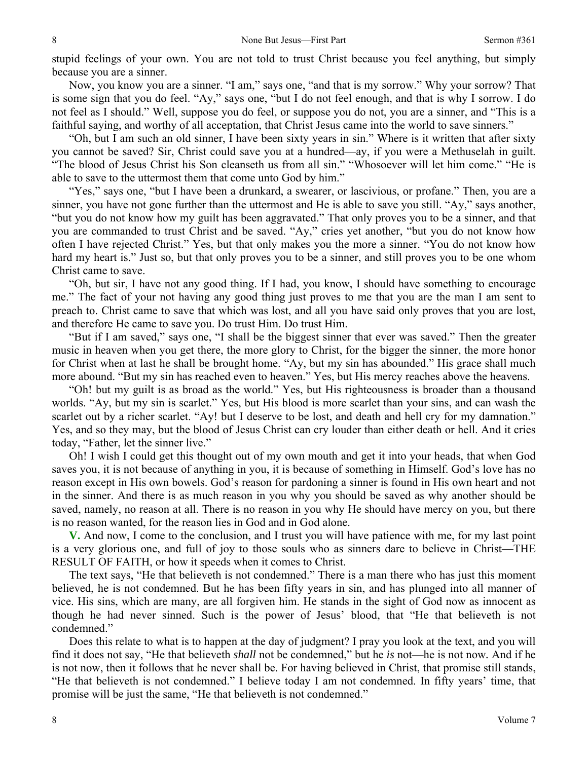stupid feelings of your own. You are not told to trust Christ because you feel anything, but simply because you are a sinner.

Now, you know you are a sinner. "I am," says one, "and that is my sorrow." Why your sorrow? That is some sign that you do feel. "Ay," says one, "but I do not feel enough, and that is why I sorrow. I do not feel as I should." Well, suppose you do feel, or suppose you do not, you are a sinner, and "This is a faithful saying, and worthy of all acceptation, that Christ Jesus came into the world to save sinners."

"Oh, but I am such an old sinner, I have been sixty years in sin." Where is it written that after sixty you cannot be saved? Sir, Christ could save you at a hundred—ay, if you were a Methuselah in guilt. "The blood of Jesus Christ his Son cleanseth us from all sin." "Whosoever will let him come." "He is able to save to the uttermost them that come unto God by him."

"Yes," says one, "but I have been a drunkard, a swearer, or lascivious, or profane." Then, you are a sinner, you have not gone further than the uttermost and He is able to save you still. "Ay," says another, "but you do not know how my guilt has been aggravated." That only proves you to be a sinner, and that you are commanded to trust Christ and be saved. "Ay," cries yet another, "but you do not know how often I have rejected Christ." Yes, but that only makes you the more a sinner. "You do not know how hard my heart is." Just so, but that only proves you to be a sinner, and still proves you to be one whom Christ came to save.

"Oh, but sir, I have not any good thing. If I had, you know, I should have something to encourage me." The fact of your not having any good thing just proves to me that you are the man I am sent to preach to. Christ came to save that which was lost, and all you have said only proves that you are lost, and therefore He came to save you. Do trust Him. Do trust Him.

"But if I am saved," says one, "I shall be the biggest sinner that ever was saved." Then the greater music in heaven when you get there, the more glory to Christ, for the bigger the sinner, the more honor for Christ when at last he shall be brought home. "Ay, but my sin has abounded." His grace shall much more abound. "But my sin has reached even to heaven." Yes, but His mercy reaches above the heavens.

"Oh! but my guilt is as broad as the world." Yes, but His righteousness is broader than a thousand worlds. "Ay, but my sin is scarlet." Yes, but His blood is more scarlet than your sins, and can wash the scarlet out by a richer scarlet. "Ay! but I deserve to be lost, and death and hell cry for my damnation." Yes, and so they may, but the blood of Jesus Christ can cry louder than either death or hell. And it cries today, "Father, let the sinner live."

Oh! I wish I could get this thought out of my own mouth and get it into your heads, that when God saves you, it is not because of anything in you, it is because of something in Himself. God's love has no reason except in His own bowels. God's reason for pardoning a sinner is found in His own heart and not in the sinner. And there is as much reason in you why you should be saved as why another should be saved, namely, no reason at all. There is no reason in you why He should have mercy on you, but there is no reason wanted, for the reason lies in God and in God alone.

**V.** And now, I come to the conclusion, and I trust you will have patience with me, for my last point is a very glorious one, and full of joy to those souls who as sinners dare to believe in Christ—THE RESULT OF FAITH, or how it speeds when it comes to Christ.

The text says, "He that believeth is not condemned." There is a man there who has just this moment believed, he is not condemned. But he has been fifty years in sin, and has plunged into all manner of vice. His sins, which are many, are all forgiven him. He stands in the sight of God now as innocent as though he had never sinned. Such is the power of Jesus' blood, that "He that believeth is not condemned."

Does this relate to what is to happen at the day of judgment? I pray you look at the text, and you will find it does not say, "He that believeth *shall* not be condemned," but he *is* not—he is not now*.* And if he is not now, then it follows that he never shall be. For having believed in Christ, that promise still stands, "He that believeth is not condemned." I believe today I am not condemned. In fifty years' time, that promise will be just the same, "He that believeth is not condemned."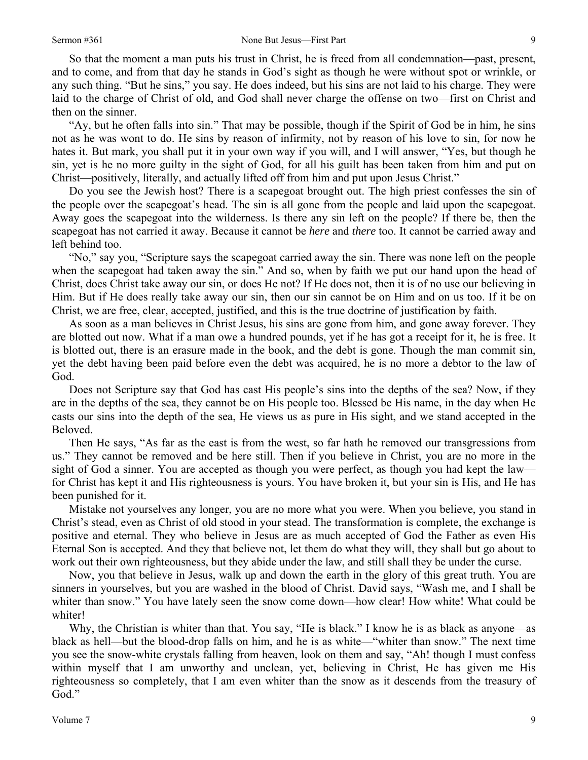So that the moment a man puts his trust in Christ, he is freed from all condemnation—past, present, and to come, and from that day he stands in God's sight as though he were without spot or wrinkle, or any such thing. "But he sins," you say. He does indeed, but his sins are not laid to his charge. They were laid to the charge of Christ of old, and God shall never charge the offense on two—first on Christ and then on the sinner.

"Ay, but he often falls into sin." That may be possible, though if the Spirit of God be in him, he sins not as he was wont to do. He sins by reason of infirmity, not by reason of his love to sin, for now he hates it. But mark, you shall put it in your own way if you will, and I will answer, "Yes, but though he sin, yet is he no more guilty in the sight of God, for all his guilt has been taken from him and put on Christ—positively, literally, and actually lifted off from him and put upon Jesus Christ."

Do you see the Jewish host? There is a scapegoat brought out. The high priest confesses the sin of the people over the scapegoat's head. The sin is all gone from the people and laid upon the scapegoat. Away goes the scapegoat into the wilderness. Is there any sin left on the people? If there be, then the scapegoat has not carried it away. Because it cannot be *here* and *there* too. It cannot be carried away and left behind too.

"No," say you, "Scripture says the scapegoat carried away the sin. There was none left on the people when the scapegoat had taken away the sin." And so, when by faith we put our hand upon the head of Christ, does Christ take away our sin, or does He not? If He does not, then it is of no use our believing in Him. But if He does really take away our sin, then our sin cannot be on Him and on us too. If it be on Christ, we are free, clear, accepted, justified, and this is the true doctrine of justification by faith.

As soon as a man believes in Christ Jesus, his sins are gone from him, and gone away forever. They are blotted out now. What if a man owe a hundred pounds, yet if he has got a receipt for it, he is free. It is blotted out, there is an erasure made in the book, and the debt is gone. Though the man commit sin, yet the debt having been paid before even the debt was acquired, he is no more a debtor to the law of God.

Does not Scripture say that God has cast His people's sins into the depths of the sea? Now, if they are in the depths of the sea, they cannot be on His people too. Blessed be His name, in the day when He casts our sins into the depth of the sea, He views us as pure in His sight, and we stand accepted in the Beloved.

Then He says, "As far as the east is from the west, so far hath he removed our transgressions from us." They cannot be removed and be here still. Then if you believe in Christ, you are no more in the sight of God a sinner. You are accepted as though you were perfect, as though you had kept the law for Christ has kept it and His righteousness is yours. You have broken it, but your sin is His, and He has been punished for it.

Mistake not yourselves any longer, you are no more what you were. When you believe, you stand in Christ's stead, even as Christ of old stood in your stead. The transformation is complete, the exchange is positive and eternal. They who believe in Jesus are as much accepted of God the Father as even His Eternal Son is accepted. And they that believe not, let them do what they will, they shall but go about to work out their own righteousness, but they abide under the law, and still shall they be under the curse.

Now, you that believe in Jesus, walk up and down the earth in the glory of this great truth. You are sinners in yourselves, but you are washed in the blood of Christ. David says, "Wash me, and I shall be whiter than snow." You have lately seen the snow come down—how clear! How white! What could be whiter!

Why, the Christian is whiter than that. You say, "He is black." I know he is as black as anyone—as black as hell—but the blood-drop falls on him, and he is as white—"whiter than snow." The next time you see the snow-white crystals falling from heaven, look on them and say, "Ah! though I must confess within myself that I am unworthy and unclean, yet, believing in Christ, He has given me His righteousness so completely, that I am even whiter than the snow as it descends from the treasury of God."